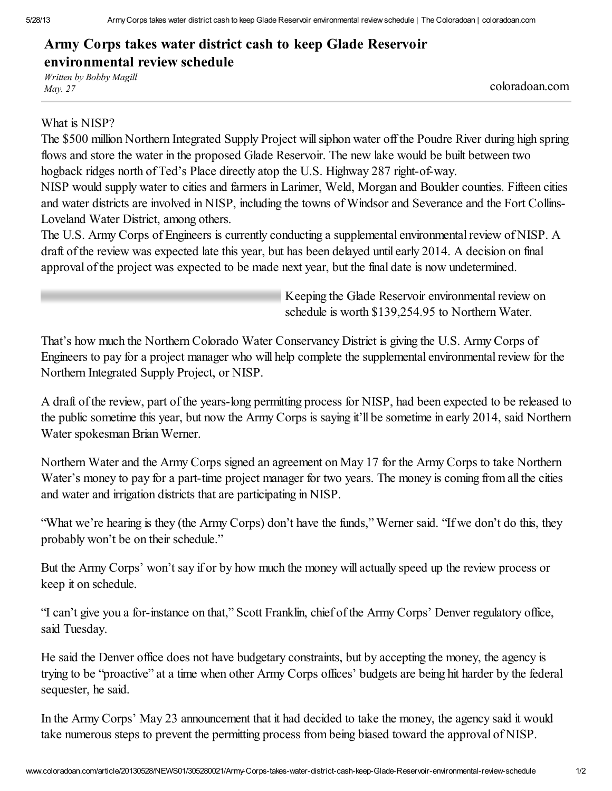## Army Corps takes water district cash to keep Glade Reservoir environmental review schedule

*Written by Bobby Magill May. <sup>27</sup>* coloradoan.com

## What is NISP?

The \$500 million Northern Integrated Supply Project willsiphon water off the Poudre River during high spring flows and store the water in the proposed Glade Reservoir. The new lake would be built between two hogback ridges north of Ted's Place directly atop the U.S. Highway 287 right-of-way.

NISP would supply water to cities and farmers in Larimer, Weld, Morgan and Boulder counties. Fifteen cities and water districts are involved in NISP, including the towns of Windsor and Severance and the Fort Collins-Loveland Water District, among others.

The U.S. Army Corps of Engineers is currently conducting a supplemental environmental review of NISP. A draft of the review was expected late this year, but has been delayed until early 2014. A decision on final approval of the project was expected to be made next year, but the final date is now undetermined.

> Keeping the Glade Reservoir environmental review on schedule is worth \$139,254.95 to Northern Water.

That's how much the Northern Colorado Water Conservancy District is giving the U.S. Army Corps of Engineers to pay for a project manager who will help complete the supplemental environmental review for the Northern Integrated Supply Project, or NISP.

A draft of the review, part of the years-long permitting process for NISP, had been expected to be released to the public sometime this year, but now the Army Corps is saying it'll be sometime in early 2014, said Northern Water spokesman Brian Werner.

Northern Water and the Army Corps signed an agreement on May 17 for the Army Corps to take Northern Water's money to pay for a part-time project manager for two years. The money is coming from all the cities and water and irrigation districts that are participating in NISP.

"What we're hearing is they (the Army Corps) don't have the funds," Werner said. "If we don't do this, they probably won't be on their schedule."

But the Army Corps' won't say if or by how much the money will actually speed up the review process or keep it on schedule.

"I can't give you a for-instance on that," Scott Franklin, chief of the Army Corps' Denver regulatory office, said Tuesday.

He said the Denver office does not have budgetary constraints, but by accepting the money, the agency is trying to be "proactive" at a time when other Army Corps offices' budgets are being hit harder by the federal sequester, he said.

In the Army Corps' May 23 announcement that it had decided to take the money, the agency said it would take numerous steps to prevent the permitting process from being biased toward the approval of NISP.